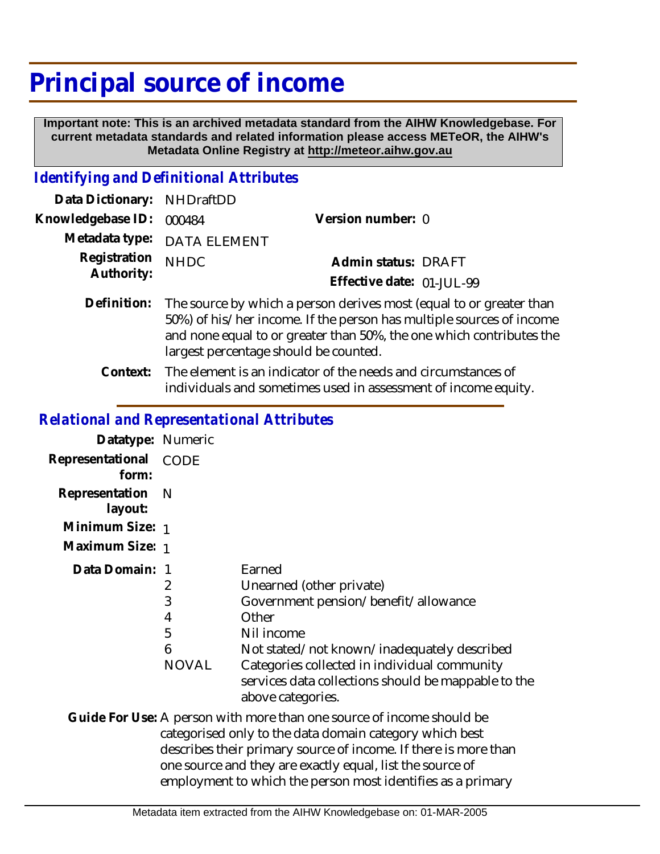## **Principal source of income**

 **Important note: This is an archived metadata standard from the AIHW Knowledgebase. For current metadata standards and related information please access METeOR, the AIHW's Metadata Online Registry at http://meteor.aihw.gov.au**

## *Identifying and Definitional Attributes*

| Data Dictionary: NHDraftDD |                                                                      |                           |  |
|----------------------------|----------------------------------------------------------------------|---------------------------|--|
| Knowledgebase ID: 000484   |                                                                      | Version number: 0         |  |
|                            | Metadata type: DATA ELEMENT                                          |                           |  |
| Registration NHDC          |                                                                      | Admin status: DRAFT       |  |
| Authority:                 |                                                                      | Effective date: 01-JUL-99 |  |
|                            | Definition. The source by which a person derives most (equal to or c |                           |  |

- Definition: The source by which a person derives most (equal to or greater than 50%) of his/her income. If the person has multiple sources of income and none equal to or greater than 50%, the one which contributes the largest percentage should be counted.
	- The element is an indicator of the needs and circumstances of individuals and sometimes used in assessment of income equity. **Context:**

## *Relational and Representational Attributes*

| Datatype: Numeric         |                                             |                                                                                                                                                                                                                                                                              |
|---------------------------|---------------------------------------------|------------------------------------------------------------------------------------------------------------------------------------------------------------------------------------------------------------------------------------------------------------------------------|
| Representational<br>form: | CODE                                        |                                                                                                                                                                                                                                                                              |
| Representation<br>layout: | - N                                         |                                                                                                                                                                                                                                                                              |
| Minimum Size: 1           |                                             |                                                                                                                                                                                                                                                                              |
| Maximum Size: 1           |                                             |                                                                                                                                                                                                                                                                              |
| Data Domain:              | -1<br>2<br>3<br>4<br>5<br>6<br><b>NOVAL</b> | Earned<br>Unearned (other private)<br>Government pension/benefit/allowance<br>Other<br>Nil income<br>Not stated/not known/inadequately described<br>Categories collected in individual community<br>services data collections should be mappable to the<br>above categories. |
|                           |                                             | Guide For Use: A person with more than one source of income should be<br>categorised only to the data domain category which best<br>describes their primary source of income. If there is more than<br>one source and they are exactly equal, list the source of             |

employment to which the person most identifies as a primary